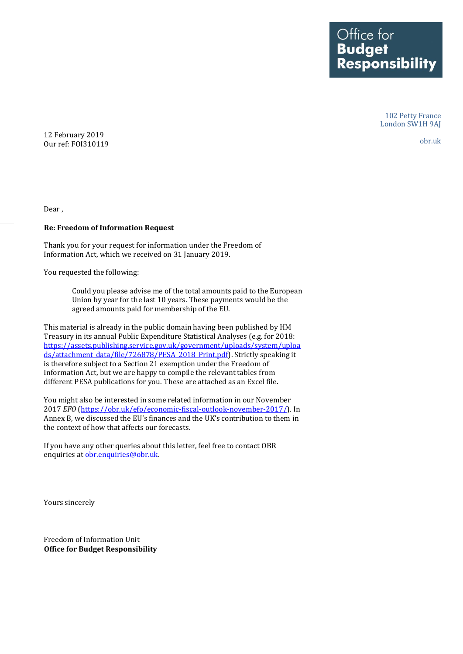Office for<br>**Budget Responsibility** 

> 102 Petty France London SW1H 9AJ

12 February 2019 Our ref: FOI310119

obr.uk

Dear ,

## **Re: Freedom of Information Request**

Thank you for your request for information under the Freedom of Information Act, which we received on 31 January 2019.

You requested the following:

Could you please advise me of the total amounts paid to the European Union by year for the last 10 years. These payments would be the agreed amounts paid for membership of the EU.

This material is already in the public domain having been published by HM Treasury in its annual Public Expenditure Statistical Analyses (e.g. for 2018: [https://assets.publishing.service.gov.uk/government/uploads/system/uploa](https://assets.publishing.service.gov.uk/government/uploads/system/uploads/attachment_data/file/726878/PESA_2018_Print.pdf) [ds/attachment\\_data/file/726878/PESA\\_2018\\_Print.pdf\)](https://assets.publishing.service.gov.uk/government/uploads/system/uploads/attachment_data/file/726878/PESA_2018_Print.pdf). Strictly speaking it is therefore subject to a Section 21 exemption under the Freedom of Information Act, but we are happy to compile the relevant tables from different PESA publications for you. These are attached as an Excel file.

You might also be interested in some related information in our November 2017 *EFO* [\(https://obr.uk/efo/economic-fiscal-outlook-november-2017/\)](https://obr.uk/efo/economic-fiscal-outlook-november-2017/). In Annex B, we discussed the EU's finances and the UK's contribution to them in the context of how that affects our forecasts.

If you have any other queries about this letter, feel free to contact OBR enquiries a[t obr.enquiries@obr.uk.](mailto:obr.enquiries@obr.uk)

Yours sincerely

Freedom of Information Unit **Office for Budget Responsibility**